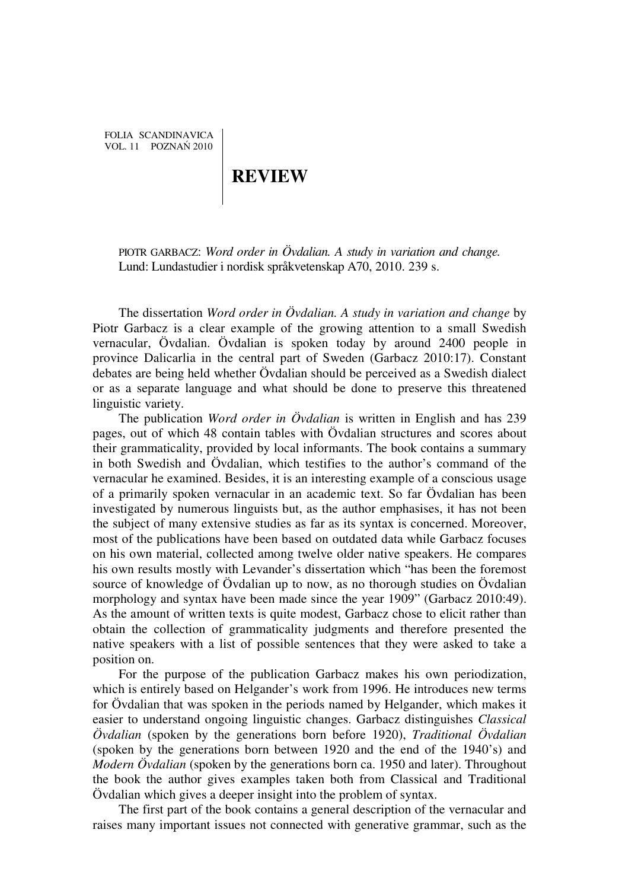FOLIA SCANDINAVICA VOL. 11 POZNAŃ 2010

## **REVIEW**

PIOTR GARBACZ: *Word order in Övdalian. A study in variation and change.*  Lund: Lundastudier i nordisk språkvetenskap A70, 2010. 239 s.

The dissertation *Word order in Övdalian. A study in variation and change* by Piotr Garbacz is a clear example of the growing attention to a small Swedish vernacular, Övdalian. Övdalian is spoken today by around 2400 people in province Dalicarlia in the central part of Sweden (Garbacz 2010:17). Constant debates are being held whether Övdalian should be perceived as a Swedish dialect or as a separate language and what should be done to preserve this threatened linguistic variety.

The publication *Word order in Övdalian* is written in English and has 239 pages, out of which 48 contain tables with Övdalian structures and scores about their grammaticality, provided by local informants. The book contains a summary in both Swedish and Övdalian, which testifies to the author's command of the vernacular he examined. Besides, it is an interesting example of a conscious usage of a primarily spoken vernacular in an academic text. So far Övdalian has been investigated by numerous linguists but, as the author emphasises, it has not been the subject of many extensive studies as far as its syntax is concerned. Moreover, most of the publications have been based on outdated data while Garbacz focuses on his own material, collected among twelve older native speakers. He compares his own results mostly with Levander's dissertation which "has been the foremost source of knowledge of Övdalian up to now, as no thorough studies on Övdalian morphology and syntax have been made since the year 1909" (Garbacz 2010:49). As the amount of written texts is quite modest, Garbacz chose to elicit rather than obtain the collection of grammaticality judgments and therefore presented the native speakers with a list of possible sentences that they were asked to take a position on.

For the purpose of the publication Garbacz makes his own periodization, which is entirely based on Helgander's work from 1996. He introduces new terms for Övdalian that was spoken in the periods named by Helgander, which makes it easier to understand ongoing linguistic changes. Garbacz distinguishes *Classical Övdalian* (spoken by the generations born before 1920), *Traditional Övdalian* (spoken by the generations born between 1920 and the end of the 1940's) and *Modern Övdalian* (spoken by the generations born ca. 1950 and later). Throughout the book the author gives examples taken both from Classical and Traditional Övdalian which gives a deeper insight into the problem of syntax.

The first part of the book contains a general description of the vernacular and raises many important issues not connected with generative grammar, such as the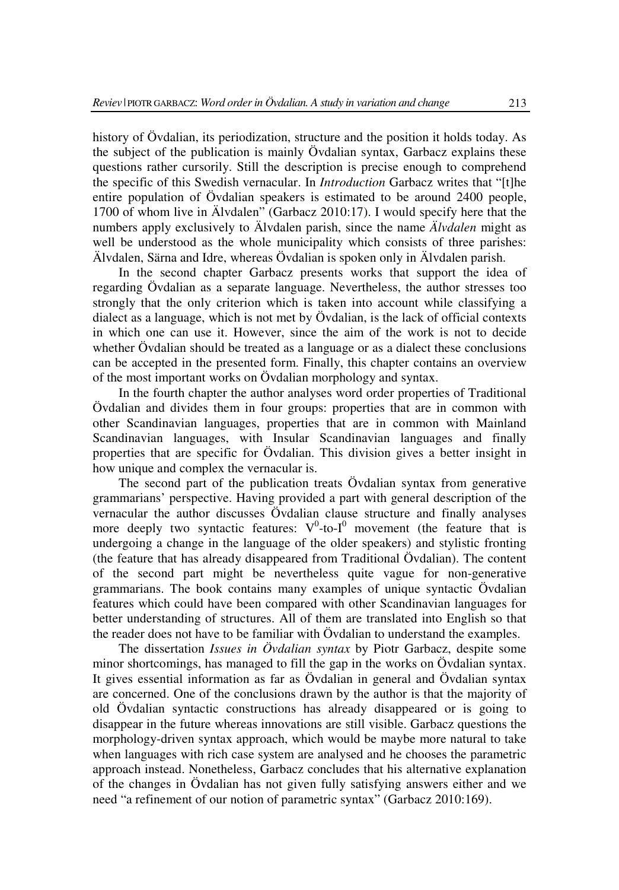history of Övdalian, its periodization, structure and the position it holds today. As the subject of the publication is mainly Övdalian syntax, Garbacz explains these questions rather cursorily. Still the description is precise enough to comprehend the specific of this Swedish vernacular. In *Introduction* Garbacz writes that "[t]he entire population of Övdalian speakers is estimated to be around 2400 people, 1700 of whom live in Älvdalen" (Garbacz 2010:17). I would specify here that the numbers apply exclusively to Älvdalen parish, since the name *Älvdalen* might as well be understood as the whole municipality which consists of three parishes: Älvdalen, Särna and Idre, whereas Övdalian is spoken only in Älvdalen parish.

In the second chapter Garbacz presents works that support the idea of regarding Övdalian as a separate language. Nevertheless, the author stresses too strongly that the only criterion which is taken into account while classifying a dialect as a language, which is not met by Övdalian, is the lack of official contexts in which one can use it. However, since the aim of the work is not to decide whether Övdalian should be treated as a language or as a dialect these conclusions can be accepted in the presented form. Finally, this chapter contains an overview of the most important works on Övdalian morphology and syntax.

In the fourth chapter the author analyses word order properties of Traditional Övdalian and divides them in four groups: properties that are in common with other Scandinavian languages, properties that are in common with Mainland Scandinavian languages, with Insular Scandinavian languages and finally properties that are specific for Övdalian. This division gives a better insight in how unique and complex the vernacular is.

The second part of the publication treats Övdalian syntax from generative grammarians' perspective. Having provided a part with general description of the vernacular the author discusses Övdalian clause structure and finally analyses more deeply two syntactic features:  $V^0$ -to- $I^0$  movement (the feature that is undergoing a change in the language of the older speakers) and stylistic fronting (the feature that has already disappeared from Traditional Övdalian). The content of the second part might be nevertheless quite vague for non-generative grammarians. The book contains many examples of unique syntactic Övdalian features which could have been compared with other Scandinavian languages for better understanding of structures. All of them are translated into English so that the reader does not have to be familiar with Övdalian to understand the examples.

The dissertation *Issues in Övdalian syntax* by Piotr Garbacz, despite some minor shortcomings, has managed to fill the gap in the works on Övdalian syntax. It gives essential information as far as Övdalian in general and Övdalian syntax are concerned. One of the conclusions drawn by the author is that the majority of old Övdalian syntactic constructions has already disappeared or is going to disappear in the future whereas innovations are still visible. Garbacz questions the morphology-driven syntax approach, which would be maybe more natural to take when languages with rich case system are analysed and he chooses the parametric approach instead. Nonetheless, Garbacz concludes that his alternative explanation of the changes in Övdalian has not given fully satisfying answers either and we need "a refinement of our notion of parametric syntax" (Garbacz 2010:169).